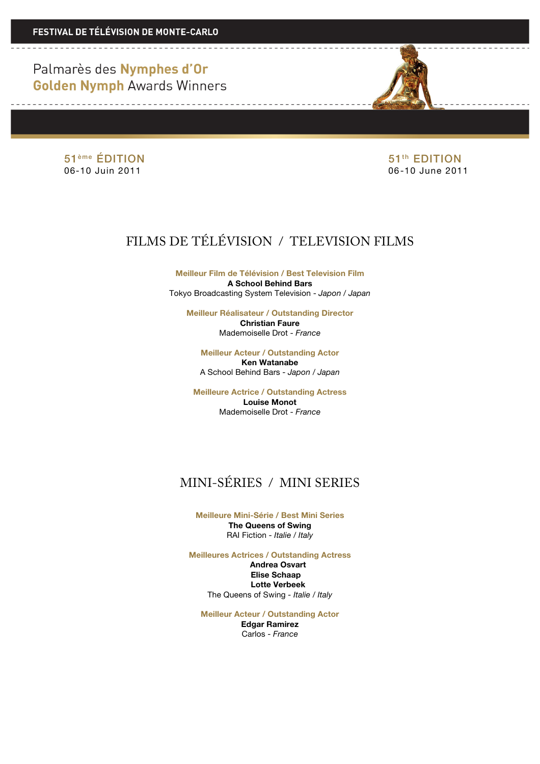<u> 1990 - Johann Barbara, martx</u>

51<sup>ème</sup> ÉDITION 51<sup>ème</sup> ÉDITION 06-10 Juin 2011 06-10 June 2011

<u>and a community of the state of the state of the state of the state of the state of the state of the state of the state of the state of the state of the state of the state of the state of the state of the state of the sta</u>

# FILMS DE TÉLÉVISION / TELEVISION FILMS

**Meilleur Film de Télévision / Best Television Film A School Behind Bars** Tokyo Broadcasting System Television - *Japon / Japan*

**Meilleur Réalisateur / Outstanding Director Christian Faure** Mademoiselle Drot - *France*

**Meilleur Acteur / Outstanding Actor Ken Watanabe** A School Behind Bars - *Japon / Japan*

**Meilleure Actrice / Outstanding Actress Louise Monot** Mademoiselle Drot - *France*

## MINI-SÉRIES / MINI SERIES

**Meilleure Mini-Série / Best Mini Series The Queens of Swing** RAI Fiction - *Italie / Italy*

**Meilleures Actrices / Outstanding Actress Andrea Osvart Elise Schaap . Lotte Verbeek** The Queens of Swing *- Italie / Italy*

**Meilleur Acteur / Outstanding Actor**

**Edgar Ramirez** Carlos - *France*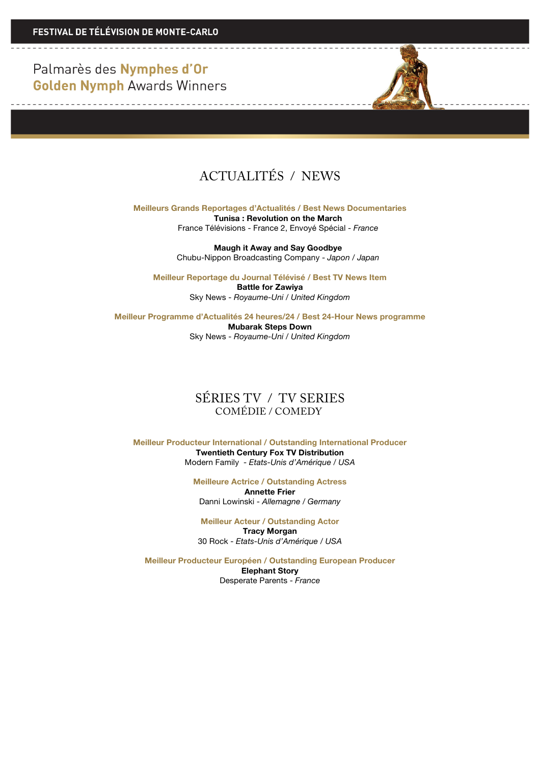

**Meilleurs Grands Reportages d'Actualités / Best News Documentaries Tunisa : Revolution on the March** France Télévisions - France 2, Envoyé Spécial - *France*

> **Maugh it Away and Say Goodbye** Chubu-Nippon Broadcasting Company - *Japon / Japan*

**Meilleur Reportage du Journal Télévisé / Best TV News Item Battle for Zawiya** Sky News - *Royaume-Uni* / *United Kingdom*

**Meilleur Programme d'Actualités 24 heures/24 / Best 24-Hour News programme Mubarak Steps Down**  Sky News - *Royaume-Uni / United Kingdom*

#### SÉRIES TV / TV SERIES COMÉDIE / COMEDY

**Meilleur Producteur International / Outstanding International Producer Twentieth Century Fox TV Distribution** Modern Family - *Etats-Unis d'Amérique / USA*

> **Meilleure Actrice / Outstanding Actress Annette Frier** Danni Lowinski - *Allemagne / Germany*

**Meilleur Acteur / Outstanding Actor Tracy Morgan** 30 Rock - *Etats-Unis d'Amérique / USA*

**Meilleur Producteur Européen / Outstanding European Producer Elephant Story** Desperate Parents - *France*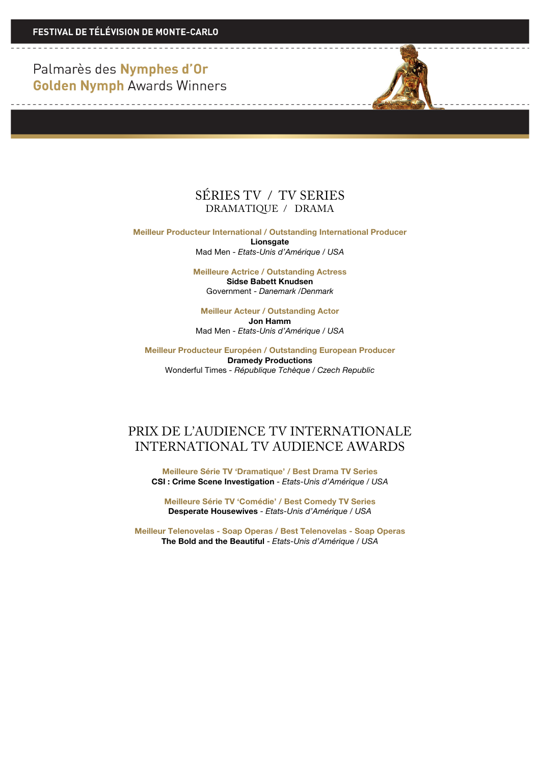<u> 1950 - La Barbara Alemania e</u>

<u> 1989 - La Carlo Alemania de la C</u>



**Meilleur Producteur International / Outstanding International Producer Lionsgate**

Mad Men - *Etats-Unis d'Amérique / USA*

**Meilleure Actrice / Outstanding Actress Sidse Babett Knudsen** Government - *Danemark /Denmark*

**Meilleur Acteur / Outstanding Actor Jon Hamm** Mad Men - *Etats-Unis d'Amérique / USA*

**Meilleur Producteur Européen / Outstanding European Producer Dramedy Productions** Wonderful Times *- République Tchèque* / *Czech Republic*

### PRIX DE L'AUDIENCE TV INTERNATIONALE INTERNATIONAL TV AUDIENCE AWARDS

**Meilleure Série TV 'Dramatique' / Best Drama TV Series CSI : Crime Scene Investigation** - *Etats-Unis d'Amérique / USA*

**Meilleure Série TV 'Comédie' / Best Comedy TV Series Desperate Housewives** - *Etats-Unis d'Amérique / USA*

**Meilleur Telenovelas - Soap Operas / Best Telenovelas - Soap Operas The Bold and the Beautiful** - *Etats-Unis d'Amérique / USA*